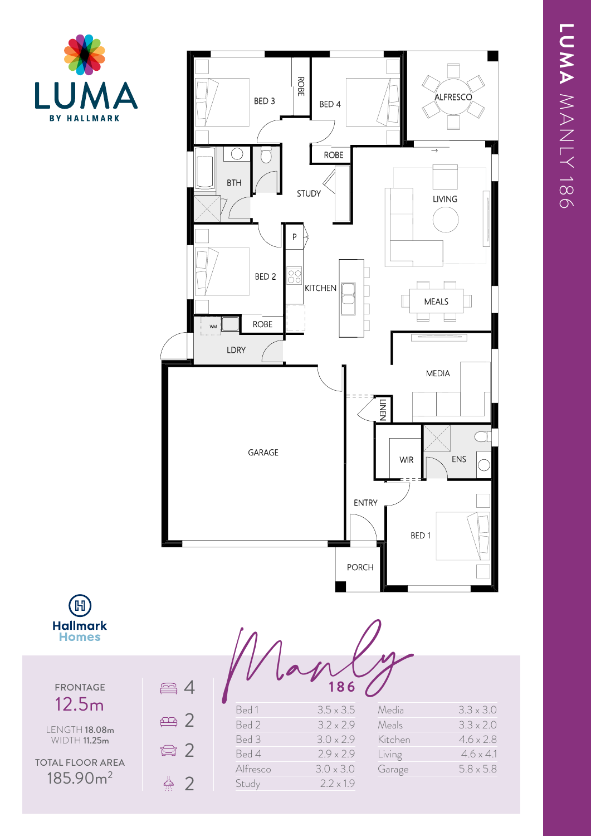